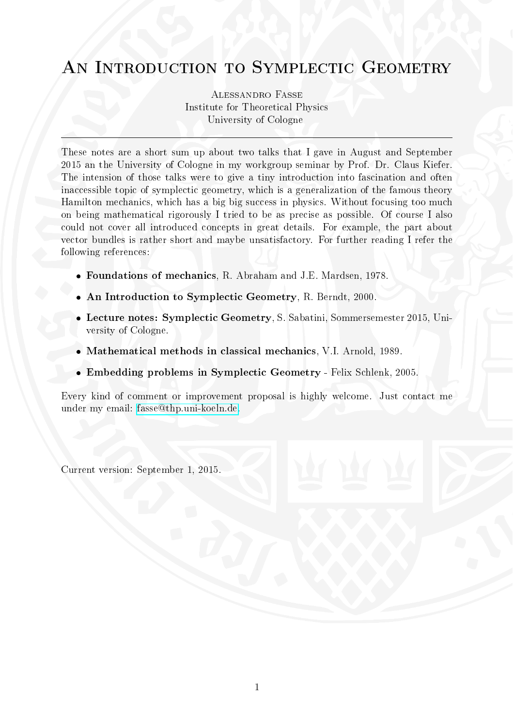# AN INTRODUCTION TO SYMPLECTIC GEOMETRY

Alessandro Fasse Institute for Theoretical Physics University of Cologne

These notes are a short sum up about two talks that I gave in August and September 2015 an the University of Cologne in my workgroup seminar by Prof. Dr. Claus Kiefer. The intension of those talks were to give a tiny introduction into fascination and often inaccessible topic of symplectic geometry, which is a generalization of the famous theory Hamilton mechanics, which has a big big success in physics. Without focusing too much on being mathematical rigorously I tried to be as precise as possible. Of course I also could not cover all introduced concepts in great details. For example, the part about vector bundles is rather short and maybe unsatisfactory. For further reading I refer the following references:

- Foundations of mechanics, R. Abraham and J.E. Mardsen, 1978.
- An Introduction to Symplectic Geometry, R. Berndt, 2000.
- Lecture notes: Symplectic Geometry, S. Sabatini, Sommersemester 2015, University of Cologne.
- Mathematical methods in classical mechanics, V.I. Arnold, 1989.
- Embedding problems in Symplectic Geometry Felix Schlenk, 2005.

Every kind of comment or improvement proposal is highly welcome. Just contact me under my email: [fasse@thp.uni-koeln.de.](mailto:fasse@thp.uni-koeln.de)

Current version: September 1, 2015.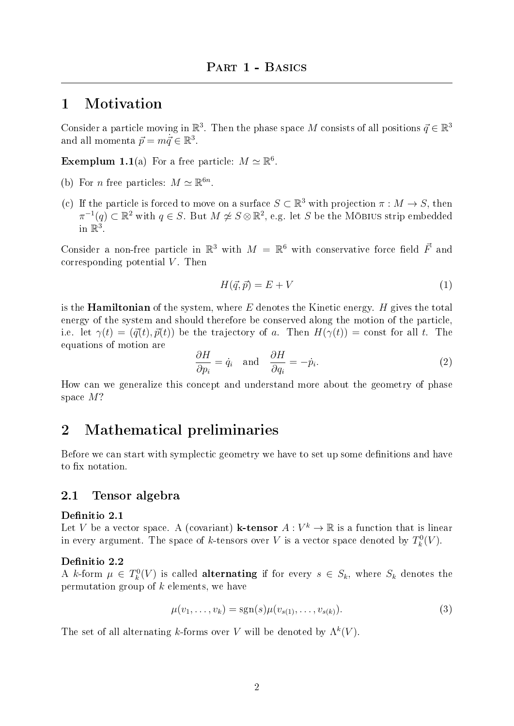## 1 Motivation

Consider a particle moving in  $\mathbb{R}^3$ . Then the phase space M consists of all positions  $\vec{q} \in \mathbb{R}^3$ and all momenta  $\vec{p} = m\dot{\vec{q}} \in \mathbb{R}^3$ .

**Exemplum 1.1**(a) For a free particle:  $M \simeq \mathbb{R}^6$ .

- (b) For *n* free particles:  $M \simeq \mathbb{R}^{6n}$ .
- (c) If the particle is forced to move on a surface  $S \subset \mathbb{R}^3$  with projection  $\pi : M \to S$ , then  $\pi^{-1}(q) \subset \mathbb{R}^2$  with  $q \in S$ . But  $M \not\cong S \otimes \mathbb{R}^2$ , e.g. let S be the MÖBIUS strip embedded in  $\mathbb{R}^3$ .

Consider a non-free particle in  $\mathbb{R}^3$  with  $M = \mathbb{R}^6$  with conservative force field  $\vec{F}$  and corresponding potential  $V$ . Then

$$
H(\vec{q}, \vec{p}) = E + V \tag{1}
$$

is the **Hamiltonian** of the system, where  $E$  denotes the Kinetic energy.  $H$  gives the total energy of the system and should therefore be conserved along the motion of the particle, i.e. let  $\gamma(t) = (\vec{q}(t), \vec{p}(t))$  be the trajectory of a. Then  $H(\gamma(t)) = \text{const}$  for all t. The equations of motion are

$$
\frac{\partial H}{\partial p_i} = \dot{q}_i \quad \text{and} \quad \frac{\partial H}{\partial q_i} = -\dot{p}_i. \tag{2}
$$

How can we generalize this concept and understand more about the geometry of phase space M?

## 2 Mathematical preliminaries

Before we can start with symplectic geometry we have to set up some definitions and have to fix notation.

## 2.1 Tensor algebra

## Definitio 2.1

Let V be a vector space. A (covariant) **k-tensor**  $A: V^k \to \mathbb{R}$  is a function that is linear in every argument. The space of k-tensors over V is a vector space denoted by  $T_k^0(V)$ .

### Definitio 2.2

A k-form  $\mu \in T_k^0(V)$  is called **alternating** if for every  $s \in S_k$ , where  $S_k$  denotes the permutation group of  $k$  elements, we have

$$
\mu(v_1, \dots, v_k) = \text{sgn}(s)\mu(v_{s(1)}, \dots, v_{s(k)}).
$$
\n(3)

The set of all alternating k-forms over V will be denoted by  $\Lambda^k(V)$ .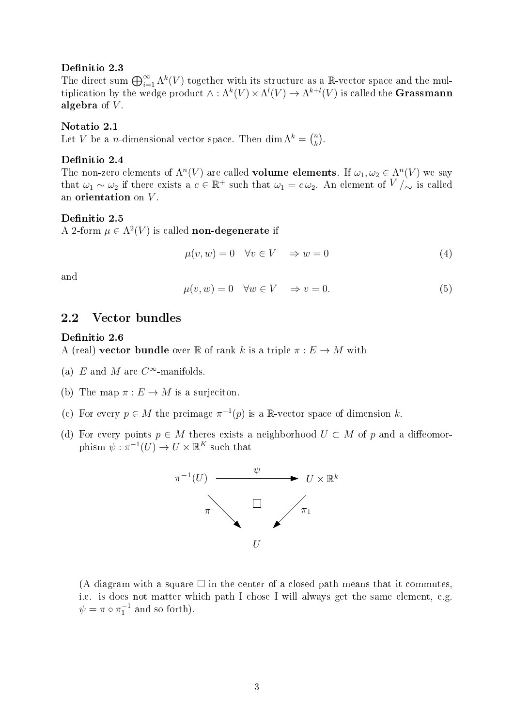#### Definitio 2.3

The direct sum  $\bigoplus_{i=1}^{\infty} \Lambda^k(V)$  together with its structure as a R-vector space and the multiplication by the wedge product  $\wedge : \Lambda^k(V) \times \Lambda^l(V) \to \Lambda^{k+l}(V)$  is called the **Grassmann** algebra of  $V$ .

#### Notatio 2.1

Let V be a *n*-dimensional vector space. Then dim  $\Lambda^k = \binom{n}{k}$  $\binom{n}{k}$ .

## Definitio 2.4

The non-zero elements of  $\Lambda^n(V)$  are called **volume elements**. If  $\omega_1, \omega_2 \in \Lambda^n(V)$  we say that  $\omega_1 \sim \omega_2$  if there exists a  $c \in \mathbb{R}^+$  such that  $\omega_1 = c \omega_2$ . An element of  $V/{\sim}$  is called an orientation on  $V$ .

#### Definitio 2.5

A 2-form  $\mu \in \Lambda^2(V)$  is called **non-degenerate** if

$$
\mu(v, w) = 0 \quad \forall v \in V \quad \Rightarrow w = 0 \tag{4}
$$

and

$$
\mu(v, w) = 0 \quad \forall w \in V \quad \Rightarrow v = 0. \tag{5}
$$

## 2.2 Vector bundles

#### Definitio 2.6

A (real) vector bundle over R of rank k is a triple  $\pi : E \to M$  with

- (a) E and M are  $C^{\infty}$ -manifolds.
- (b) The map  $\pi : E \to M$  is a surjection.
- (c) For every  $p \in M$  the preimage  $\pi^{-1}(p)$  is a R-vector space of dimension k.
- (d) For every points  $p \in M$  theres exists a neighborhood  $U \subset M$  of p and a diffeomorphism  $\psi : \pi^{-1}(U) \to U \times \mathbb{R}^K$  such that



(A diagram with a square  $\Box$  in the center of a closed path means that it commutes, i.e. is does not matter which path I chose I will always get the same element, e.g.  $\psi = \pi \circ \pi_1^{-1}$  and so forth).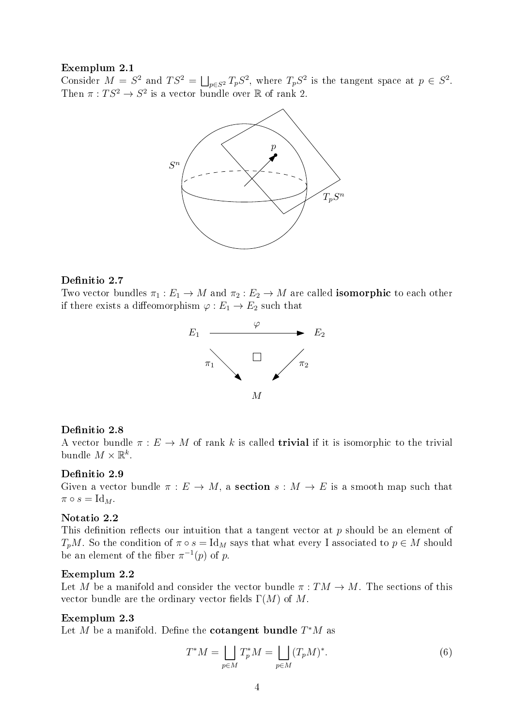## Exemplum 2.1

Consider  $M = S^2$  and  $TS^2 = \bigsqcup_{p \in S^2} T_p S^2$ , where  $T_p S^2$  is the tangent space at  $p \in S^2$ . Then  $\pi: TS^2 \to S^2$  is a vector bundle over  $\mathbb R$  of rank 2.



## Definitio 2.7

Two vector bundles  $\pi_1 : E_1 \to M$  and  $\pi_2 : E_2 \to M$  are called **isomorphic** to each other if there exists a diffeomorphism  $\varphi : E_1 \to E_2$  such that



## Definitio 2.8

A vector bundle  $\pi : E \to M$  of rank k is called **trivial** if it is isomorphic to the trivial bundle  $M \times \mathbb{R}^k$ .

#### Definitio 2.9

Given a vector bundle  $\pi : E \to M$ , a **section**  $s : M \to E$  is a smooth map such that  $\pi \circ s = \mathrm{Id}_M.$ 

## Notatio 2.2

This definition reflects our intuition that a tangent vector at  $p$  should be an element of  $T_pM$ . So the condition of  $\pi \circ s = \text{Id}_M$  says that what every I associated to  $p \in M$  should be an element of the fiber  $\pi^{-1}(p)$  of p.

## Exemplum 2.2

Let M be a manifold and consider the vector bundle  $\pi: TM \to M$ . The sections of this vector bundle are the ordinary vector fields  $\Gamma(M)$  of M.

## Exemplum 2.3

Let M be a manifold. Define the cotangent bundle  $T^*M$  as

$$
T^*M = \bigsqcup_{p \in M} T_p^*M = \bigsqcup_{p \in M} (T_pM)^*.
$$
 (6)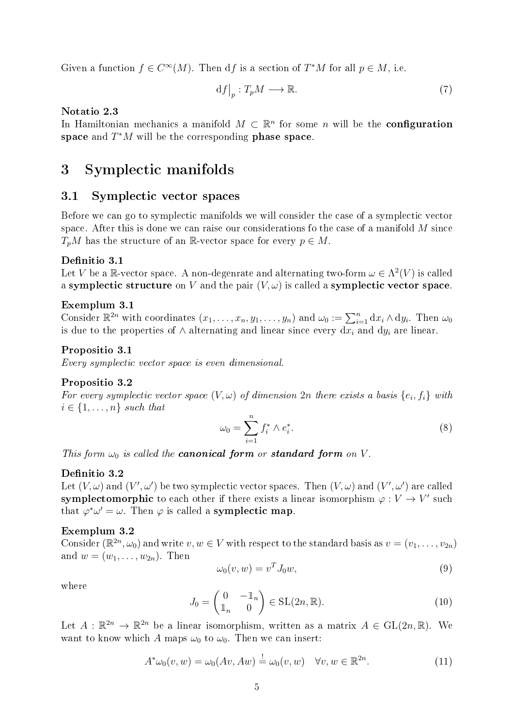Given a function  $f \in C^{\infty}(M)$ . Then df is a section of  $T^{*}M$  for all  $p \in M$ , i.e.

$$
\mathrm{d}f\big|_{p}:T_{p}M\longrightarrow\mathbb{R}.\tag{7}
$$

Notatio 2.3

In Hamiltonian mechanics a manifold  $M \subset \mathbb{R}^n$  for some n will be the **configuration** space and  $T^*M$  will be the corresponding phase space.

## 3 Symplectic manifolds

## 3.1 Symplectic vector spaces

Before we can go to symplectic manifolds we will consider the case of a symplectic vector space. After this is done we can raise our considerations fo the case of a manifold  $M$  since  $T_nM$  has the structure of an R-vector space for every  $p \in M$ .

## Definitio 3.1

Let V be a R-vector space. A non-degenrate and alternating two-form  $\omega \in \Lambda^2(V)$  is called a symplectic structure on V and the pair  $(V, \omega)$  is called a symplectic vector space.

## Exemplum 3.1

Consider  $\mathbb{R}^{2n}$  with coordinates  $(x_1, \ldots, x_n, y_1, \ldots, y_n)$  and  $\omega_0 := \sum_{i=1}^n dx_i \wedge dy_i$ . Then  $\omega_0$ is due to the properties of  $\wedge$  alternating and linear since every  $dx_i$  and  $dy_i$  are linear.

#### <span id="page-4-1"></span>Propositio 3.1

Every symplectic vector space is even dimensional.

#### Propositio 3.2

For every symplectic vector space  $(V, \omega)$  of dimension  $2n$  there exists a basis  $\{e_i, f_i\}$  with  $i \in \{1, \ldots, n\}$  such that

$$
\omega_0 = \sum_{i=1}^n f_i^* \wedge e_i^*.
$$
\n
$$
(8)
$$

This form  $\omega_0$  is called the **canonical form** or **standard form** on V.

#### Definitio 3.2

Let  $(V, \omega)$  and  $(V', \omega')$  be two symplectic vector spaces. Then  $(V, \omega)$  and  $(V', \omega')$  are called symplectomorphic to each other if there exists a linear isomorphism  $\varphi: V \to V'$  such that  $\varphi^* \omega' = \omega$ . Then  $\varphi$  is called a **symplectic map**.

## Exemplum 3.2

Consider  $(\mathbb{R}^{2n}, \omega_0)$  and write  $v, w \in V$  with respect to the standard basis as  $v = (v_1, \ldots, v_{2n})$ and  $w = (w_1, \ldots, w_{2n})$ . Then

<span id="page-4-0"></span>
$$
\omega_0(v, w) = v^T J_0 w,\tag{9}
$$

where

$$
J_0 = \begin{pmatrix} 0 & -\mathbb{1}_n \\ \mathbb{1}_n & 0 \end{pmatrix} \in SL(2n, \mathbb{R}).
$$
 (10)

Let  $A: \mathbb{R}^{2n} \to \mathbb{R}^{2n}$  be a linear isomorphism, written as a matrix  $A \in GL(2n, \mathbb{R})$ . We want to know which A maps  $\omega_0$  to  $\omega_0$ . Then we can insert:

$$
A^*\omega_0(v, w) = \omega_0(Av, Aw) \stackrel{!}{=} \omega_0(v, w) \quad \forall v, w \in \mathbb{R}^{2n}.
$$
\n(11)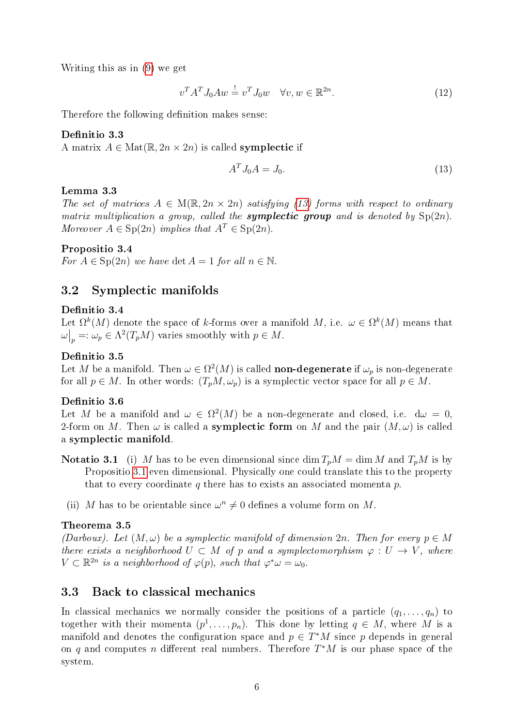Writing this as in [\(9\)](#page-4-0) we get

$$
v^T A^T J_0 A w \stackrel{!}{=} v^T J_0 w \quad \forall v, w \in \mathbb{R}^{2n}.
$$
\n
$$
(12)
$$

Therefore the following definition makes sense:

## Definitio 3.3

A matrix  $A \in \text{Mat}(\mathbb{R}, 2n \times 2n)$  is called **symplectic** if

<span id="page-5-0"></span>
$$
A^T J_0 A = J_0. \tag{13}
$$

## Lemma 3.3

The set of matrices  $A \in M(\mathbb{R}, 2n \times 2n)$  satisfying [\(13\)](#page-5-0) forms with respect to ordinary matrix multiplication a group, called the **symplectic group** and is denoted by  $Sp(2n)$ . Moreover  $A \in \text{Sp}(2n)$  implies that  $A^T \in \text{Sp}(2n)$ .

## Propositio 3.4

For  $A \in \text{Sp}(2n)$  we have  $\det A = 1$  for all  $n \in \mathbb{N}$ .

## 3.2 Symplectic manifolds

## Definitio 3.4

Let  $\Omega^k(M)$  denote the space of k-forms over a manifold M, i.e.  $\omega \in \Omega^k(M)$  means that  $\omega\big|_p =: \omega_p \in \Lambda^2(T_pM)$  varies smoothly with  $p \in M$ .

## Definitio 3.5

Let M be a manifold. Then  $\omega \in \Omega^2(M)$  is called **non-degenerate** if  $\omega_p$  is non-degenerate for all  $p \in M$ . In other words:  $(T_pM, \omega_p)$  is a symplectic vector space for all  $p \in M$ .

## Definitio 3.6

Let M be a manifold and  $\omega \in \Omega^2(M)$  be a non-degenerate and closed, i.e.  $d\omega = 0$ , 2-form on M. Then  $\omega$  is called a **symplectic form** on M and the pair  $(M, \omega)$  is called a symplectic manifold.

- **Notatio 3.1** (i) M has to be even dimensional since dim  $T_pM = \dim M$  and  $T_pM$  is by Propositio [3.1](#page-4-1) even dimensional. Physically one could translate this to the property that to every coordinate q there has to exists an associated momenta  $p$ .
	- (ii) M has to be orientable since  $\omega^n \neq 0$  defines a volume form on M.

#### Theorema 3.5

(Darboux). Let  $(M, \omega)$  be a symplectic manifold of dimension 2n. Then for every  $p \in M$ there exists a neighborhood  $U \subset M$  of p and a symplectomorphism  $\varphi : U \to V$ , where  $V \subset \mathbb{R}^{2n}$  is a neighborhood of  $\varphi(p)$ , such that  $\varphi^* \omega = \omega_0$ .

## 3.3 Back to classical mechanics

In classical mechanics we normally consider the positions of a particle  $(q_1, \ldots, q_n)$  to together with their momenta  $(p^1, \ldots, p_n)$ . This done by letting  $q \in M$ , where M is a manifold and denotes the configuration space and  $p \in T^*M$  since p depends in general on q and computes n different real numbers. Therefore  $T^*M$  is our phase space of the system.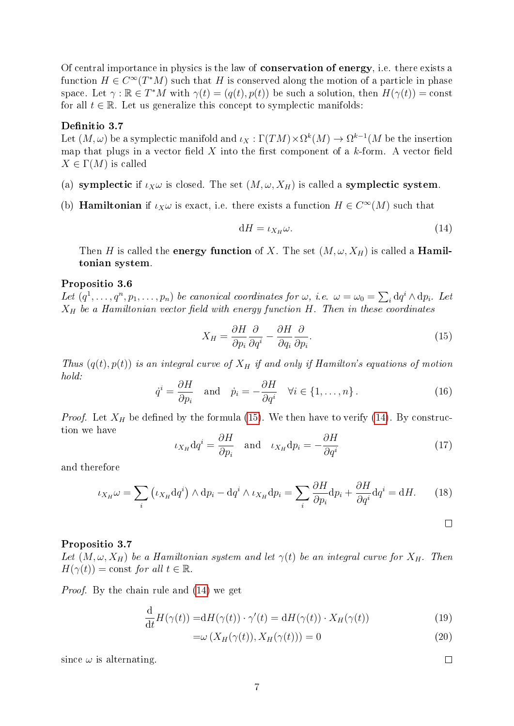Of central importance in physics is the law of conservation of energy, i.e. there exists a function  $H \in C^{\infty}(T^*M)$  such that H is conserved along the motion of a particle in phase space. Let  $\gamma : \mathbb{R} \in T^*M$  with  $\gamma(t) = (q(t), p(t))$  be such a solution, then  $H(\gamma(t)) = \text{const}$ for all  $t \in \mathbb{R}$ . Let us generalize this concept to symplectic manifolds:

## Definitio 3.7

Let  $(M, \omega)$  be a symplectic manifold and  $\iota_X : \Gamma(TM) \times \Omega^k(M) \to \Omega^{k-1}(M$  be the insertion map that plugs in a vector field  $X$  into the first component of a  $k$ -form. A vector field  $X \in \Gamma(M)$  is called

- (a) symplectic if  $\iota_X\omega$  is closed. The set  $(M, \omega, X_H)$  is called a symplectic system.
- (b) **Hamiltonian** if  $\iota_X \omega$  is exact, i.e. there exists a function  $H \in C^{\infty}(M)$  such that

<span id="page-6-1"></span>
$$
dH = \iota_{X_H}\omega. \tag{14}
$$

Then H is called the **energy function** of X. The set  $(M, \omega, X_H)$  is called a **Hamil**tonian system.

#### Propositio 3.6

Let  $(q^1, \ldots, q^n, p_1, \ldots, p_n)$  be canonical coordinates for  $\omega$ , i.e.  $\omega = \omega_0 = \sum_i dq^i \wedge dp_i$ . Let  $X_H$  be a Hamiltonian vector field with energy function H. Then in these coordinates

<span id="page-6-0"></span>
$$
X_H = \frac{\partial H}{\partial p_i} \frac{\partial}{\partial q^i} - \frac{\partial H}{\partial q_i} \frac{\partial}{\partial p_i}.
$$
\n(15)

Thus  $(q(t), p(t))$  is an integral curve of  $X_H$  if and only if Hamilton's equations of motion hold:

$$
\dot{q}^i = \frac{\partial H}{\partial p_i} \quad \text{and} \quad \dot{p}_i = -\frac{\partial H}{\partial q^i} \quad \forall i \in \{1, \dots, n\} \,.
$$
 (16)

*Proof.* Let  $X_H$  be defined by the formula [\(15\)](#page-6-0). We then have to verify [\(14\)](#page-6-1). By construction we have

$$
\iota_{X_H} dq^i = \frac{\partial H}{\partial p_i} \quad \text{and} \quad \iota_{X_H} dp_i = -\frac{\partial H}{\partial q^i} \tag{17}
$$

and therefore

$$
\iota_{X_H}\omega = \sum_i \left(\iota_{X_H} dq^i\right) \wedge dp_i - dq^i \wedge \iota_{X_H} dp_i = \sum_i \frac{\partial H}{\partial p_i} dp_i + \frac{\partial H}{\partial q^i} dq^i = dH. \tag{18}
$$

#### Propositio 3.7

Let  $(M, \omega, X_H)$  be a Hamiltonian system and let  $\gamma(t)$  be an integral curve for  $X_H$ . Then  $H(\gamma(t)) = \text{const}$  for all  $t \in \mathbb{R}$ .

Proof. By the chain rule and [\(14\)](#page-6-1) we get

$$
\frac{\mathrm{d}}{\mathrm{d}t}H(\gamma(t)) = \mathrm{d}H(\gamma(t)) \cdot \gamma'(t) = \mathrm{d}H(\gamma(t)) \cdot X_H(\gamma(t)) \tag{19}
$$

$$
=\omega\left(X_H(\gamma(t)), X_H(\gamma(t))\right) = 0\tag{20}
$$

since  $\omega$  is alternating.

 $\Box$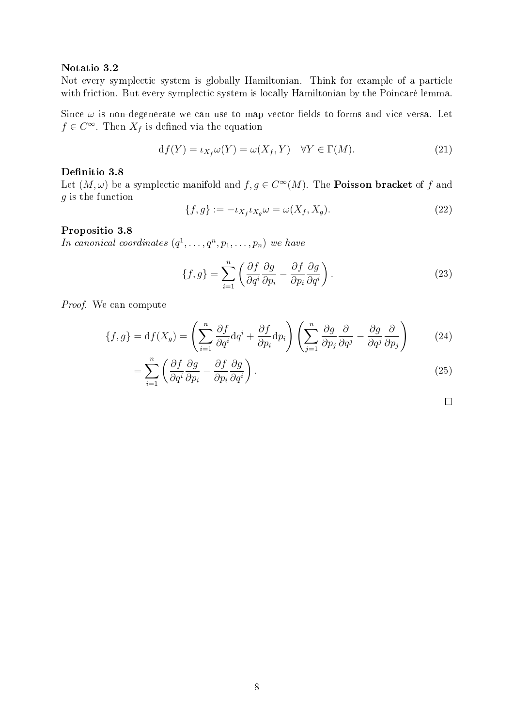### Notatio 3.2

Not every symplectic system is globally Hamiltonian. Think for example of a particle with friction. But every symplectic system is locally Hamiltonian by the Poincaré lemma.

Since  $\omega$  is non-degenerate we can use to map vector fields to forms and vice versa. Let  $f \in C^{\infty}$ . Then  $X_f$  is defined via the equation

$$
df(Y) = \iota_{X_f} \omega(Y) = \omega(X_f, Y) \quad \forall Y \in \Gamma(M). \tag{21}
$$

## Definitio 3.8

Let  $(M, \omega)$  be a symplectic manifold and  $f, g \in C^{\infty}(M)$ . The **Poisson bracket** of f and g is the function

$$
\{f,g\} := -\iota_{X_f}\iota_{X_g}\omega = \omega(X_f, X_g). \tag{22}
$$

#### Propositio 3.8

In canonical coordinates  $(q^1, \ldots, q^n, p_1, \ldots, p_n)$  we have

$$
\{f,g\} = \sum_{i=1}^{n} \left( \frac{\partial f}{\partial q^i} \frac{\partial g}{\partial p_i} - \frac{\partial f}{\partial p_i} \frac{\partial g}{\partial q^i} \right).
$$
 (23)

Proof. We can compute

$$
\{f,g\} = df(X_g) = \left(\sum_{i=1}^n \frac{\partial f}{\partial q^i} dq^i + \frac{\partial f}{\partial p_i} dp_i\right) \left(\sum_{j=1}^n \frac{\partial g}{\partial p_j} \frac{\partial}{\partial q^j} - \frac{\partial g}{\partial q^j} \frac{\partial}{\partial p_j}\right) \tag{24}
$$

$$
= \sum_{i=1}^{n} \left( \frac{\partial f}{\partial q^i} \frac{\partial g}{\partial p_i} - \frac{\partial f}{\partial p_i} \frac{\partial g}{\partial q^i} \right).
$$
 (25)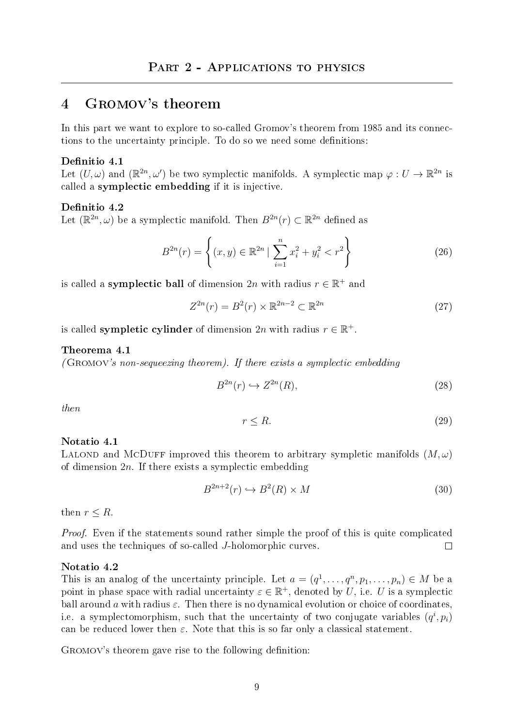## 4 Gromov's theorem

In this part we want to explore to so-called Gromov's theorem from 1985 and its connections to the uncertainty principle. To do so we need some definitions:

## Definitio 4.1

Let  $(U, \omega)$  and  $(\mathbb{R}^{2n}, \omega')$  be two symplectic manifolds. A symplectic map  $\varphi : U \to \mathbb{R}^{2n}$  is called a symplectic embedding if it is injective.

## Definitio 4.2

Let  $(\mathbb{R}^{2n}, \omega)$  be a symplectic manifold. Then  $B^{2n}(r) \subset \mathbb{R}^{2n}$  defined as

$$
B^{2n}(r) = \left\{ (x, y) \in \mathbb{R}^{2n} \mid \sum_{i=1}^{n} x_i^2 + y_i^2 < r^2 \right\} \tag{26}
$$

is called a **symplectic ball** of dimension  $2n$  with radius  $r \in \mathbb{R}^+$  and

$$
Z^{2n}(r) = B^2(r) \times \mathbb{R}^{2n-2} \subset \mathbb{R}^{2n}
$$
\n
$$
(27)
$$

is called **sympletic cylinder** of dimension  $2n$  with radius  $r \in \mathbb{R}^+$ .

#### <span id="page-8-0"></span>Theorema 4.1

(GROMOV's non-sequeezing theorem). If there exists a symplectic embedding

$$
B^{2n}(r) \hookrightarrow Z^{2n}(R),\tag{28}
$$

then

$$
r \le R.\tag{29}
$$

#### Notatio 4.1

LALOND and MCDUFF improved this theorem to arbitrary sympletic manifolds  $(M, \omega)$ of dimension  $2n$ . If there exists a symplectic embedding

$$
B^{2n+2}(r) \hookrightarrow B^2(R) \times M \tag{30}
$$

then  $r \leq R$ .

*Proof.* Even if the statements sound rather simple the proof of this is quite complicated and uses the techniques of so-called J-holomorphic curves.  $\Box$ 

## Notatio 4.2

This is an analog of the uncertainty principle. Let  $a = (q^1, \ldots, q^n, p_1, \ldots, p_n) \in M$  be a point in phase space with radial uncertainty  $\varepsilon \in \mathbb{R}^+$ , denoted by U, i.e. U is a symplectic ball around a with radius  $\varepsilon$ . Then there is no dynamical evolution or choice of coordinates, i.e. a symplectomorphism, such that the uncertainty of two conjugate variables  $(q^i, p_i)$ can be reduced lower then  $\varepsilon$ . Note that this is so far only a classical statement.

GROMOV's theorem gave rise to the following definition: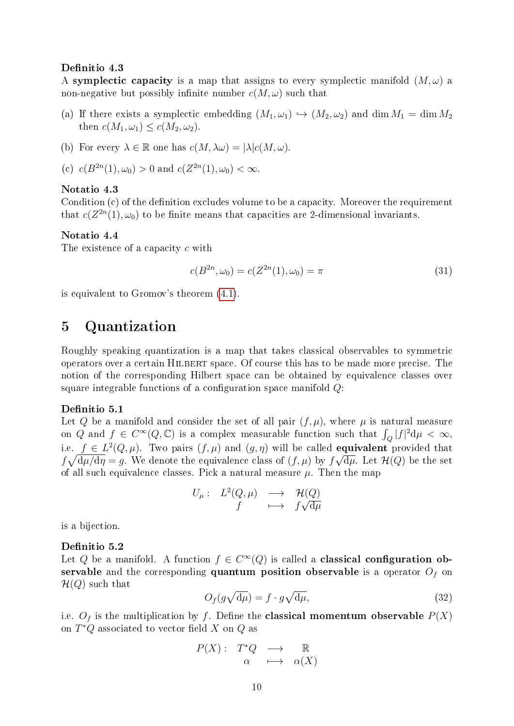#### Definitio 4.3

A symplectic capacity is a map that assigns to every symplectic manifold  $(M, \omega)$  a non-negative but possibly infinite number  $c(M, \omega)$  such that

- (a) If there exists a symplectic embedding  $(M_1, \omega_1) \hookrightarrow (M_2, \omega_2)$  and dim  $M_1 = \dim M_2$ then  $c(M_1, \omega_1) \leq c(M_2, \omega_2)$ .
- (b) For every  $\lambda \in \mathbb{R}$  one has  $c(M, \lambda \omega) = |\lambda| c(M, \omega)$ .
- (c)  $c(B^{2n}(1), \omega_0) > 0$  and  $c(Z^{2n}(1), \omega_0) < \infty$ .

## Notatio 4.3

Condition  $(c)$  of the definition excludes volume to be a capacity. Moreover the requirement that  $c(Z^{2n}(1), \omega_0)$  to be finite means that capacities are 2-dimensional invariants.

## Notatio 4.4

The existence of a capacity c with

$$
c(B^{2n}, \omega_0) = c(Z^{2n}(1), \omega_0) = \pi \tag{31}
$$

is equivalent to Gromov's theorem [\(4.1\)](#page-8-0).

## 5 Quantization

Roughly speaking quantization is a map that takes classical observables to symmetric operators over a certain HILBERT space. Of course this has to be made more precise. The notion of the corresponding Hilbert space can be obtained by equivalence classes over square integrable functions of a configuration space manifold  $Q$ :

## Definitio 5.1

Let Q be a manifold and consider the set of all pair  $(f, \mu)$ , where  $\mu$  is natural measure on Q and  $f \in C^{\infty}(Q, \mathbb{C})$  is a complex measurable function such that  $\int_{Q} |f|^{2} d\mu < \infty$ , i.e.  $f \in L^2(Q, \mu)$ . Two pairs  $(f, \mu)$  and  $(g, \eta)$  will be called **equivalent** provided that  $f\sqrt{d\mu/d\eta} = g$ . We denote the equivalence class of  $(f, \mu)$  by  $f\sqrt{d\mu}$ . Let  $\mathcal{H}(Q)$  be the set of all such equivalence classes. Pick a natural measure  $\mu$ . Then the map

$$
U_{\mu}: L^{2}(Q, \mu) \longrightarrow \mathcal{H}(Q)
$$
  

$$
f \longmapsto f\sqrt{d\mu}
$$

is a bijection.

#### Definitio 5.2

Let Q be a manifold. A function  $f \in C^{\infty}(Q)$  is called a **classical configuration ob**servable and the corresponding quantum position observable is a operator  $O<sub>f</sub>$  on  $\mathcal{H}(Q)$  such that

$$
O_f(g\sqrt{d\mu}) = f \cdot g\sqrt{d\mu},\tag{32}
$$

i.e.  $O_f$  is the multiplication by f. Define the **classical momentum observable**  $P(X)$ on  $T^*Q$  associated to vector field X on  $Q$  as

$$
\begin{array}{rccc}\nP(X): & T^*Q & \longrightarrow & \mathbb{R} \\
\alpha & \longmapsto & \alpha(X)\n\end{array}
$$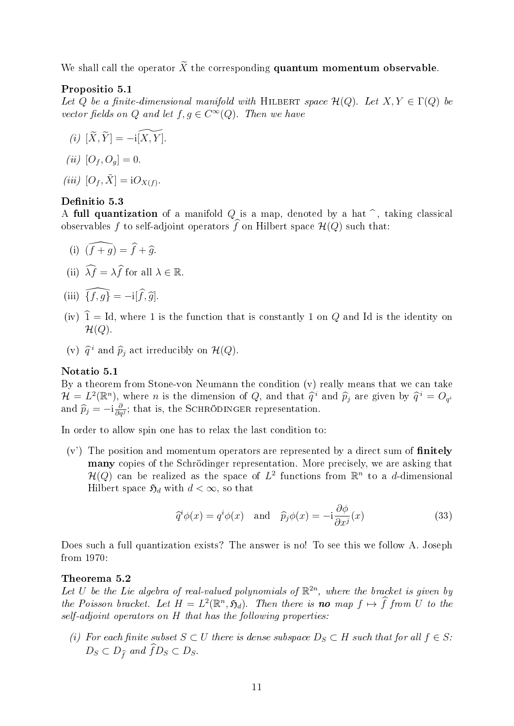We shall call the operator  $\widetilde{X}$  the corresponding **quantum momentum observable**.

## Propositio 5.1

Let Q be a finite-dimensional manifold with HILBERT space  $\mathcal{H}(Q)$ . Let  $X, Y \in \Gamma(Q)$  be vector fields on Q and let  $f, g \in C^{\infty}(Q)$ . Then we have

- $(i) \ [\widetilde{X}, \widetilde{Y}] = -i\widetilde{[X, Y]}.$ (*ii*)  $[O_f, O_g] = 0$ .
- (iii)  $[O_f, \tilde{X}] = iO_{X(f)}$ .

## <span id="page-10-0"></span>Definitio 5.3

A full quantization of a manifold Q is a map, denoted by a hat  $\hat{ }$ , taking classical observables f to self-adjoint operators  $\widehat{f}$  on Hilbert space  $\mathcal{H}(Q)$  such that:

(i) 
$$
(\widehat{f} + \widehat{g}) = \widehat{f} + \widehat{g}
$$
.

- (ii)  $\widehat{\lambda f} = \lambda \widehat{f}$  for all  $\lambda \in \mathbb{R}$ .
- (iii)  $\widehat{\{f, g\}} = -i[\widehat{f}, \widehat{g}].$
- (iv)  $\hat{1} = Id$ , where 1 is the function that is constantly 1 on Q and Id is the identity on  $\mathcal{H}(Q)$ .
- (v)  $\hat{q}^i$  and  $\hat{p}_j$  act irreducibly on  $\mathcal{H}(Q)$ .

#### Notatio 5.1

By a theorem from Stone-von Neumann the condition (v) really means that we can take  $\mathcal{H} = L^2(\mathbb{R}^n)$ , where *n* is the dimension of *Q*, and that  $\hat{q}^i$  and  $\hat{p}_j$  are given by  $\hat{q}^i = O_{q^i}$ <br>and  $\hat{p}_j = \hat{p}^i$ , that is the SCHPÖDINCER representation and  $\widehat{p}_j = -i \frac{\partial}{\partial q}$  $\frac{\partial}{\partial q^j}$ ; that is, the SCHRÖDINGER representation.

In order to allow spin one has to relax the last condition to:

 $(v<sup>3</sup>)$  The position and momentum operators are represented by a direct sum of finitely many copies of the Schrödinger representation. More precisely, we are asking that  $\mathcal{H}(Q)$  can be realized as the space of  $L^2$  functions from  $\mathbb{R}^n$  to a d-dimensional Hilbert space  $\mathfrak{H}_d$  with  $d < \infty$ , so that

$$
\widehat{q}^i \phi(x) = q^i \phi(x) \quad \text{and} \quad \widehat{p}_j \phi(x) = -i \frac{\partial \phi}{\partial x^j}(x) \tag{33}
$$

Does such a full quantization exists? The answer is no! To see this we follow A. Joseph from 1970:

#### Theorema 5.2

Let U be the Lie algebra of real-valued polynomials of  $\mathbb{R}^{2n}$ , where the bracket is given by the Poisson bracket. Let  $H = L^2(\mathbb{R}^n, \mathfrak{H}_d)$ . Then there is **no** map  $f \mapsto f$  from U to the self-adjoint operators on H that has the following properties:

(i) For each finite subset  $S \subset U$  there is dense subspace  $D_S \subset H$  such that for all  $f \in S$ :  $D_S \subset D_{\hat{f}}$  and  $\hat{f}D_S \subset D_S$ .